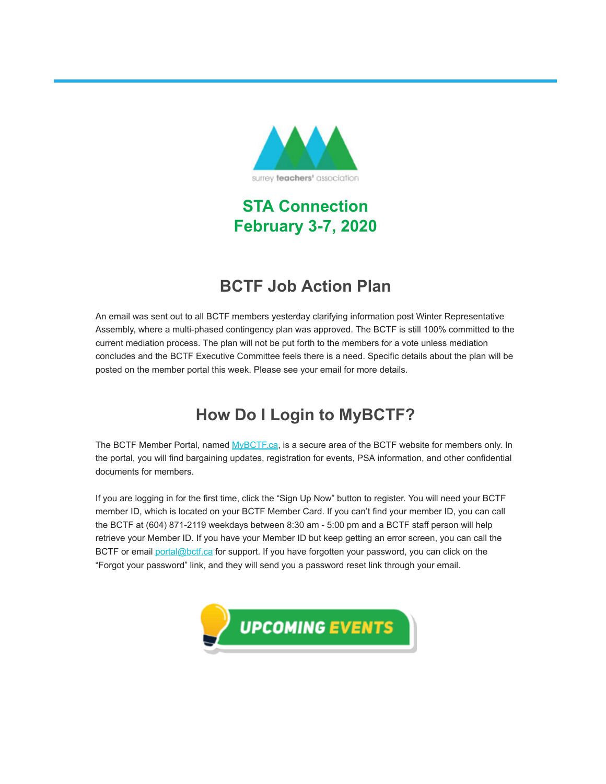

## **STA Connection February 3-7, 2020**

### **BCTF Job Action Plan**

An email was sent out to all BCTF members yesterday clarifying information post Winter Representative Assembly, where a multi-phased contingency plan was approved. The BCTF is still 100% committed to the current mediation process. The plan will not be put forth to the members for a vote unless mediation concludes and the BCTF Executive Committee feels there is a need. Specific details about the plan will be posted on the member portal this week. Please see your email for more details.

## **How Do I Login to MyBCTF?**

The BCTF Member Portal, named [MyBCTF.ca](https://surreyteachers.us20.list-manage.com/track/click?u=37ec644ae87e34b54b3912660&id=7fe17614bc&e=7261da6bdb), is a secure area of the BCTF website for members only. In the portal, you will find bargaining updates, registration for events, PSA information, and other confidential documents for members.

If you are logging in for the first time, click the "Sign Up Now" button to register. You will need your BCTF member ID, which is located on your BCTF Member Card. If you can't find your member ID, you can call the BCTF at (604) 871-2119 weekdays between 8:30 am - 5:00 pm and a BCTF staff person will help retrieve your Member ID. If you have your Member ID but keep getting an error screen, you can call the BCTF or email [portal@bctf.ca](mailto:portal@bctf.ca) for support. If you have forgotten your password, you can click on the "Forgot your password" link, and they will send you a password reset link through your email.

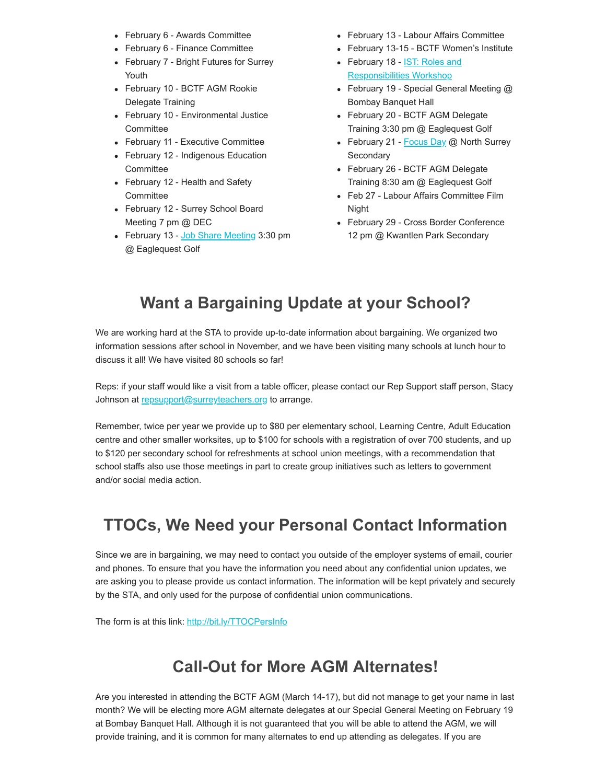- February 6 Awards Committee
- February 6 Finance Committee
- February 7 Bright Futures for Surrey Youth
- February 10 BCTF AGM Rookie Delegate Training
- February 10 Environmental Justice **Committee**
- February 11 Executive Committee
- February 12 Indigenous Education **Committee**
- February 12 Health and Safety **Committee**
- February 12 Surrey School Board Meeting 7 pm @ DEC
- February 13 [Job Share Meeting](https://surreyteachers.us20.list-manage.com/track/click?u=37ec644ae87e34b54b3912660&id=6d6e91efcb&e=7261da6bdb) 3:30 pm @ Eaglequest Golf
- February 13 Labour Affairs Committee
- February 13-15 BCTF Women's Institute
- [February 18 IST: Roles and](https://surreyteachers.us20.list-manage.com/track/click?u=37ec644ae87e34b54b3912660&id=70eefb172c&e=7261da6bdb) Responsibilities Workshop
- February 19 Special General Meeting @ Bombay Banquet Hall
- February 20 BCTF AGM Delegate Training 3:30 pm @ Eaglequest Golf
- February 21 [Focus Day](https://surreyteachers.us20.list-manage.com/track/click?u=37ec644ae87e34b54b3912660&id=3a500f7147&e=7261da6bdb) @ North Surrey **Secondary**
- February 26 BCTF AGM Delegate Training 8:30 am @ Eaglequest Golf
- Feb 27 Labour Affairs Committee Film Night
- February 29 Cross Border Conference 12 pm @ Kwantlen Park Secondary

### **Want a Bargaining Update at your School?**

We are working hard at the STA to provide up-to-date information about bargaining. We organized two information sessions after school in November, and we have been visiting many schools at lunch hour to discuss it all! We have visited 80 schools so far!

Reps: if your staff would like a visit from a table officer, please contact our Rep Support staff person, Stacy Johnson at [repsupport@surreyteachers.org](mailto:repsupport@surreyteachers.org) to arrange.

Remember, twice per year we provide up to \$80 per elementary school, Learning Centre, Adult Education centre and other smaller worksites, up to \$100 for schools with a registration of over 700 students, and up to \$120 per secondary school for refreshments at school union meetings, with a recommendation that school staffs also use those meetings in part to create group initiatives such as letters to government and/or social media action.

### **TTOCs, We Need your Personal Contact Information**

Since we are in bargaining, we may need to contact you outside of the employer systems of email, courier and phones. To ensure that you have the information you need about any confidential union updates, we are asking you to please provide us contact information. The information will be kept privately and securely by the STA, and only used for the purpose of confidential union communications.

The form is at this link: [http://bit.ly/TTOCPersInfo](https://surreyteachers.us20.list-manage.com/track/click?u=37ec644ae87e34b54b3912660&id=1753dde71a&e=7261da6bdb)

### **Call-Out for More AGM Alternates!**

Are you interested in attending the BCTF AGM (March 14-17), but did not manage to get your name in last month? We will be electing more AGM alternate delegates at our Special General Meeting on February 19 at Bombay Banquet Hall. Although it is not guaranteed that you will be able to attend the AGM, we will provide training, and it is common for many alternates to end up attending as delegates. If you are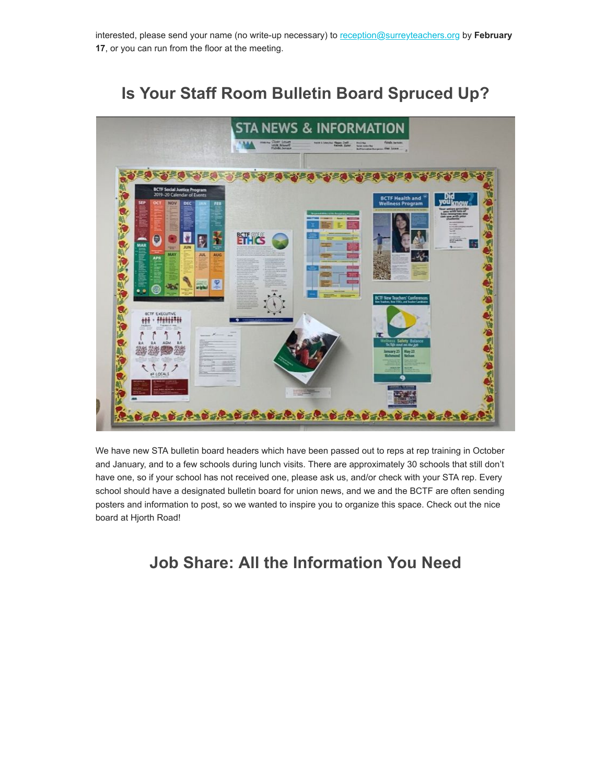interested, please send your name (no write-up necessary) to [reception@surreyteachers.org](mailto:reception@surreyteachers.org) by **February 17**, or you can run from the floor at the meeting.

### **Is Your Staff Room Bulletin Board Spruced Up?**



We have new STA bulletin board headers which have been passed out to reps at rep training in October and January, and to a few schools during lunch visits. There are approximately 30 schools that still don't have one, so if your school has not received one, please ask us, and/or check with your STA rep. Every school should have a designated bulletin board for union news, and we and the BCTF are often sending posters and information to post, so we wanted to inspire you to organize this space. Check out the nice board at Hjorth Road!

### **Job Share: All the Information You Need**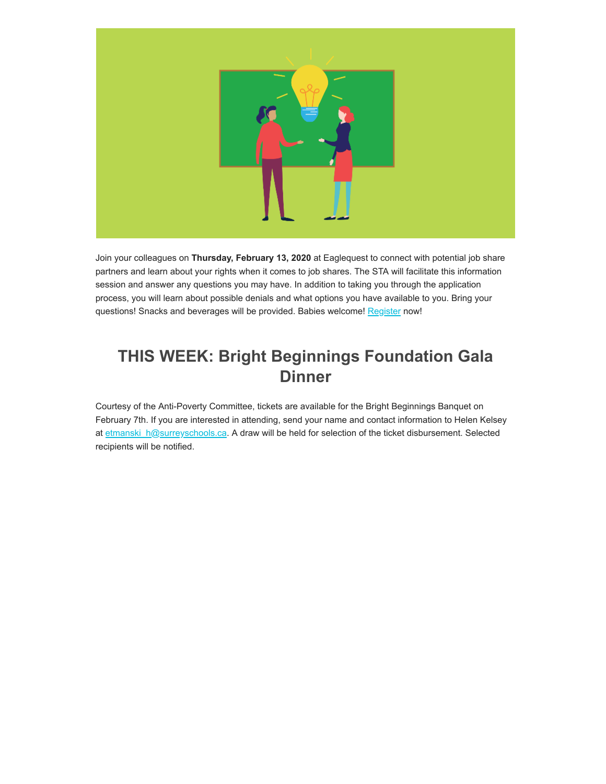

Join your colleagues on **Thursday, February 13, 2020** at Eaglequest to connect with potential job share partners and learn about your rights when it comes to job shares. The STA will facilitate this information session and answer any questions you may have. In addition to taking you through the application process, you will learn about possible denials and what options you have available to you. Bring your questions! Snacks and beverages will be provided. Babies welcome! [Register](https://surreyteachers.us20.list-manage.com/track/click?u=37ec644ae87e34b54b3912660&id=7f6ac10c30&e=7261da6bdb) now!

### **THIS WEEK: Bright Beginnings Foundation Gala Dinner**

Courtesy of the Anti-Poverty Committee, tickets are available for the Bright Beginnings Banquet on February 7th. If you are interested in attending, send your name and contact information to Helen Kelsey at [etmanski\\_h@surreyschools.ca](mailto:etmanski_h@surreyschools.ca). A draw will be held for selection of the ticket disbursement. Selected recipients will be notified.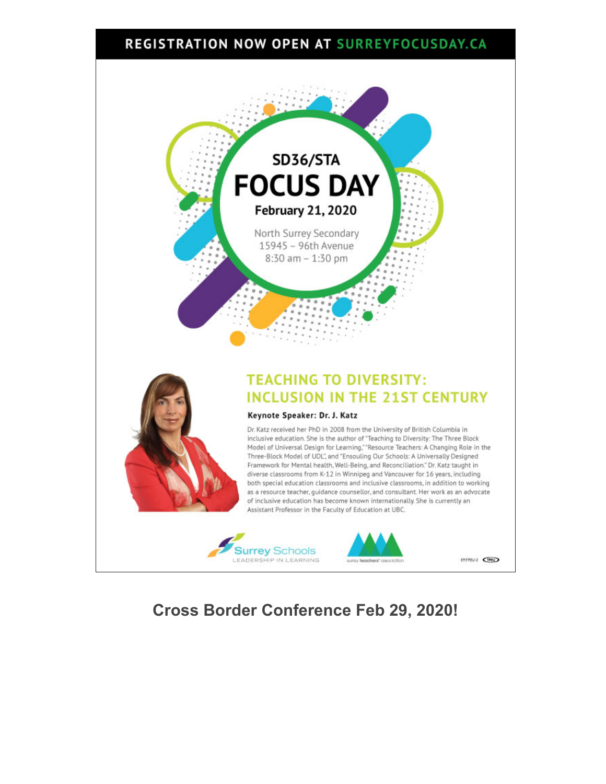### **REGISTRATION NOW OPEN AT SURREYFOCUSDAY.CA**







EY:TFEU-2 CTED

### **Cross Border Conference Feb 29, 2020!**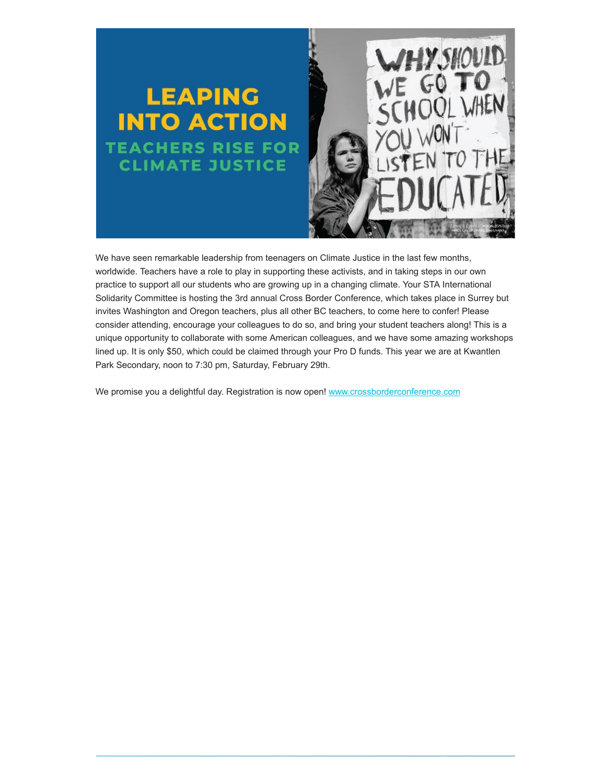

We have seen remarkable leadership from teenagers on Climate Justice in the last few months, worldwide. Teachers have a role to play in supporting these activists, and in taking steps in our own practice to support all our students who are growing up in a changing climate. Your STA International Solidarity Committee is hosting the 3rd annual Cross Border Conference, which takes place in Surrey but invites Washington and Oregon teachers, plus all other BC teachers, to come here to confer! Please consider attending, encourage your colleagues to do so, and bring your student teachers along! This is a unique opportunity to collaborate with some American colleagues, and we have some amazing workshops lined up. It is only \$50, which could be claimed through your Pro D funds. This year we are at Kwantlen Park Secondary, noon to 7:30 pm, Saturday, February 29th.

We promise you a delightful day. Registration is now open! [www.crossborderconference.com](https://surreyteachers.us20.list-manage.com/track/click?u=37ec644ae87e34b54b3912660&id=bb6fb2cdf3&e=7261da6bdb)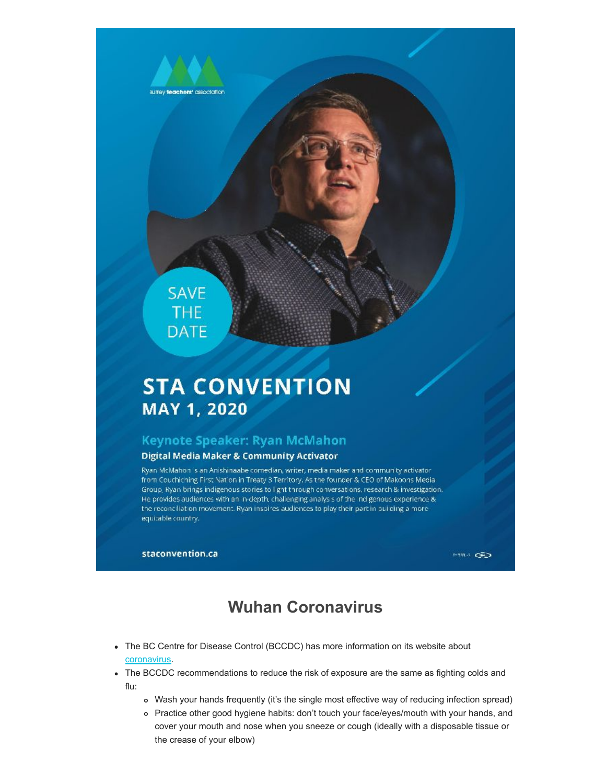

### **SAVE** THE **DATE**

# **STA CONVENTION** MAY 1, 2020

#### Keynote Speaker: Ryan McMahon

#### **Digital Media Maker & Community Activator**

Ryan McMahon is an Anishinaabe comedian, writer, media maker and community activator from Couchiching First Nation in Treaty 3 Territory. As the founder & CEO of Makoons Media. Group, Ryan brings indigenous stories to I ght through conversations, research & investigation, He provides audiences with an in-depth, challenging analysis of the indigenous experience & the reconciliation movement. Ryan inspires audiences to play their part in building a moreequitable country.

staconvention.ca

 $\mathbb{R}^{n\times n}$  .  $\mathbf{C} \overline{\mathbb{R}}$  ,  $\mathbf{D}$ 

### **Wuhan Coronavirus**

- The BC Centre for Disease Control (BCCDC) has more information on its website about [coronavirus](https://surreyteachers.us20.list-manage.com/track/click?u=37ec644ae87e34b54b3912660&id=ca7a08f24c&e=7261da6bdb).
- The BCCDC recommendations to reduce the risk of exposure are the same as fighting colds and flu:
	- Wash your hands frequently (it's the single most effective way of reducing infection spread)
	- Practice other good hygiene habits: don't touch your face/eyes/mouth with your hands, and cover your mouth and nose when you sneeze or cough (ideally with a disposable tissue or the crease of your elbow)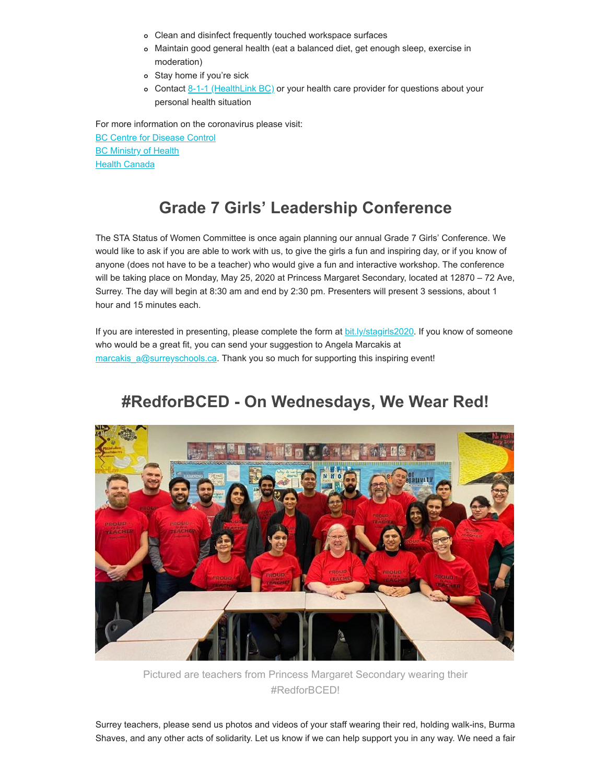- Clean and disinfect frequently touched workspace surfaces
- Maintain good general health (eat a balanced diet, get enough sleep, exercise in moderation)
- Stay home if you're sick
- o Contact  $8-1-1$  (HealthLink BC) or your health care provider for questions about your personal health situation

For more information on the coronavirus please visit:

[BC Centre for Disease Control](https://surreyteachers.us20.list-manage.com/track/click?u=37ec644ae87e34b54b3912660&id=84fc53a893&e=7261da6bdb) **[BC Ministry of Health](https://surreyteachers.us20.list-manage.com/track/click?u=37ec644ae87e34b54b3912660&id=c7ec70c05e&e=7261da6bdb) [Health Canada](https://surreyteachers.us20.list-manage.com/track/click?u=37ec644ae87e34b54b3912660&id=7afe9298fe&e=7261da6bdb)** 

### **Grade 7 Girls' Leadership Conference**

The STA Status of Women Committee is once again planning our annual Grade 7 Girls' Conference. We would like to ask if you are able to work with us, to give the girls a fun and inspiring day, or if you know of anyone (does not have to be a teacher) who would give a fun and interactive workshop. The conference will be taking place on Monday, May 25, 2020 at Princess Margaret Secondary, located at 12870 – 72 Ave, Surrey. The day will begin at 8:30 am and end by 2:30 pm. Presenters will present 3 sessions, about 1 hour and 15 minutes each.

If you are interested in presenting, please complete the form at [bit.ly/stagirls2020](https://surreyteachers.us20.list-manage.com/track/click?u=37ec644ae87e34b54b3912660&id=1aa5501f6e&e=7261da6bdb). If you know of someone who would be a great fit, you can send your suggestion to Angela Marcakis at [marcakis\\_a@surreyschools.ca.](mailto:marcakis_a@surreyschools.ca) Thank you so much for supporting this inspiring event!

### **#RedforBCED - On Wednesdays, We Wear Red!**



Pictured are teachers from Princess Margaret Secondary wearing their #RedforBCED!

Surrey teachers, please send us photos and videos of your staff wearing their red, holding walk-ins, Burma Shaves, and any other acts of solidarity. Let us know if we can help support you in any way. We need a fair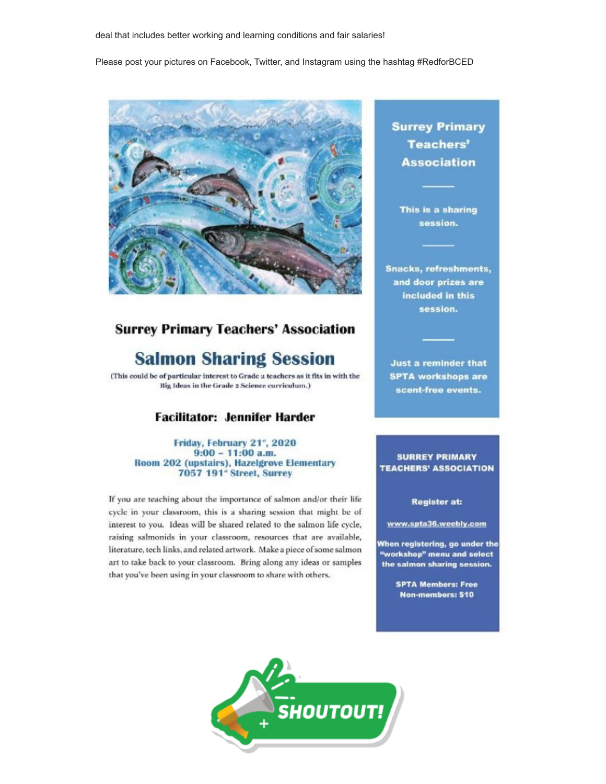Please post your pictures on Facebook, Twitter, and Instagram using the hashtag #RedforBCED



#### **Surrey Primary Teachers' Association**

### **Salmon Sharing Session**

(This could be of particular interest to Grade 2 teachers as it fits in with the Big Ideas in the Grade 2 Science curriculum.)

#### **Facilitator: Jennifer Harder**

Friday, February 21", 2020  $9:00 - 11:00$  a.m. Room 202 (upstairs), Hazelgrove Elementary 7057 191° Street, Surrey

If you are teaching about the importance of salmon and/or their life cycle in your classroom, this is a sharing session that might be of interest to you. Ideas will be shared related to the salmon life cycle, raising salmonids in your classroom, resources that are available, literature, tech links, and related artwork. Make a piece of some salmon art to take back to your classroom. Bring along any ideas or samples that you've been using in your classroom to share with others.

**Surrey Primary Teachers' Association** 

This is a sharing session.

**Snacks, refreshments,** and door prizes are included in this session.

**Just a reminder that SPTA workshops are** scent-free events.

#### **SURREY PRIMARY TEACHERS' ASSOCIATION**

#### **Register at:**

www.spta36.weebly.com

When registering, go under the "workshop" menu and select the salmon sharing session.

> **SPTA Members: Free** Non-members: \$10

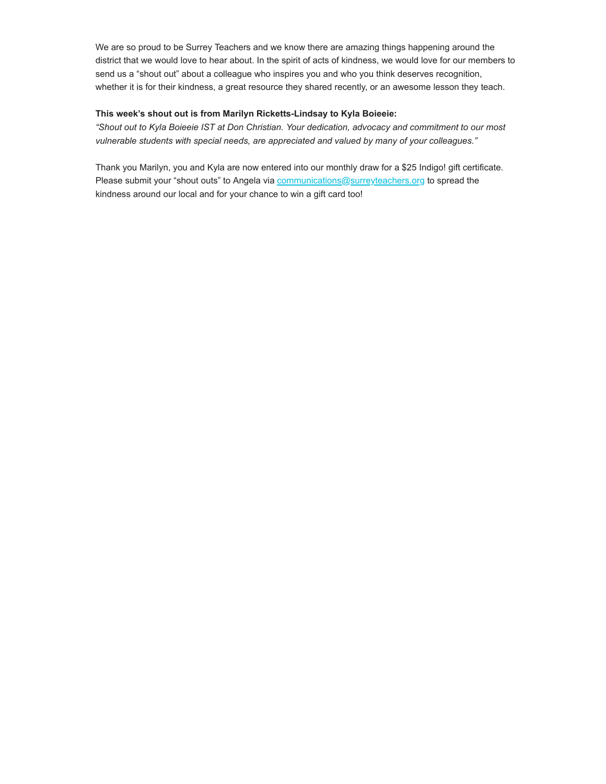We are so proud to be Surrey Teachers and we know there are amazing things happening around the district that we would love to hear about. In the spirit of acts of kindness, we would love for our members to send us a "shout out" about a colleague who inspires you and who you think deserves recognition, whether it is for their kindness, a great resource they shared recently, or an awesome lesson they teach.

#### **This week's shout out is from Marilyn Ricketts-Lindsay to Kyla Boieeie:**

*"Shout out to Kyla Boieeie IST at Don Christian. Your dedication, advocacy and commitment to our most vulnerable students with special needs, are appreciated and valued by many of your colleagues."*

Thank you Marilyn, you and Kyla are now entered into our monthly draw for a \$25 Indigo! gift certificate. Please submit your "shout outs" to Angela via [communications@surreyteachers.org](https://surreyteachers.us20.list-manage.com/track/click?u=37ec644ae87e34b54b3912660&id=0c4aa739ab&e=7261da6bdb) to spread the kindness around our local and for your chance to win a gift card too!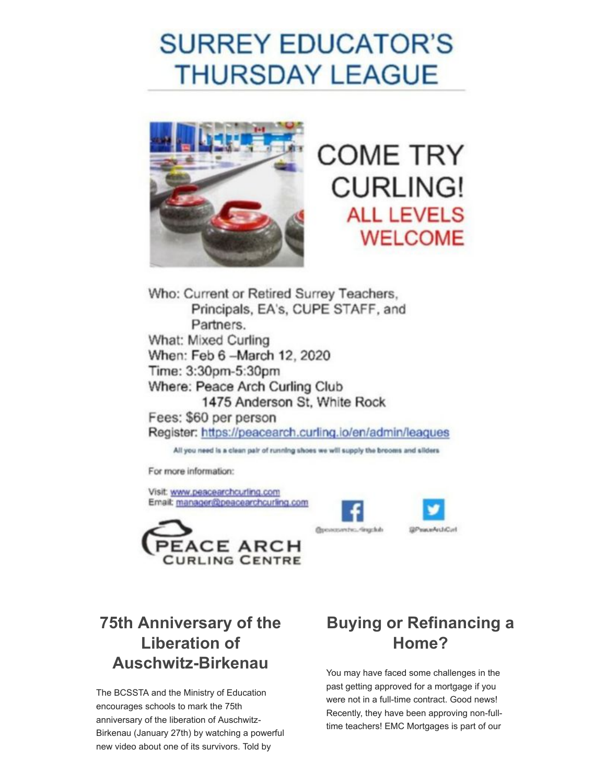# **SURREY EDUCATOR'S THURSDAY LEAGUE**



**COME TRY CURLING! ALL LEVELS WELCOME** 

Who: Current or Retired Surrey Teachers, Principals, EA's, CUPE STAFF, and Partners. What: Mixed Curling When: Feb 6 - March 12, 2020 Time: 3:30pm-5:30pm Where: Peace Arch Curling Club 1475 Anderson St. White Rock Fees: \$60 per person Register: https://peacearch.curling.io/en/admin/leagues

All you need is a clean pair of running shoes we will supply the brooms and sliders

For more information:

Visit: www.peacearchcurling.com Email: manager@peacearchcurling.com





**Inchester** 

# **Home?**

You may have faced some challenges in the past getting approved for a mortgage if you were not in a full-time contract. Good news! Recently, they have been approving non-fulltime teachers! EMC Mortgages is part of our

### **75th Anniversary of the Liberation of Auschwitz-Birkenau**

The BCSSTA and the Ministry of Education encourages schools to mark the 75th anniversary of the liberation of Auschwitz-Birkenau (January 27th) by watching a powerful new video about one of its survivors. Told by